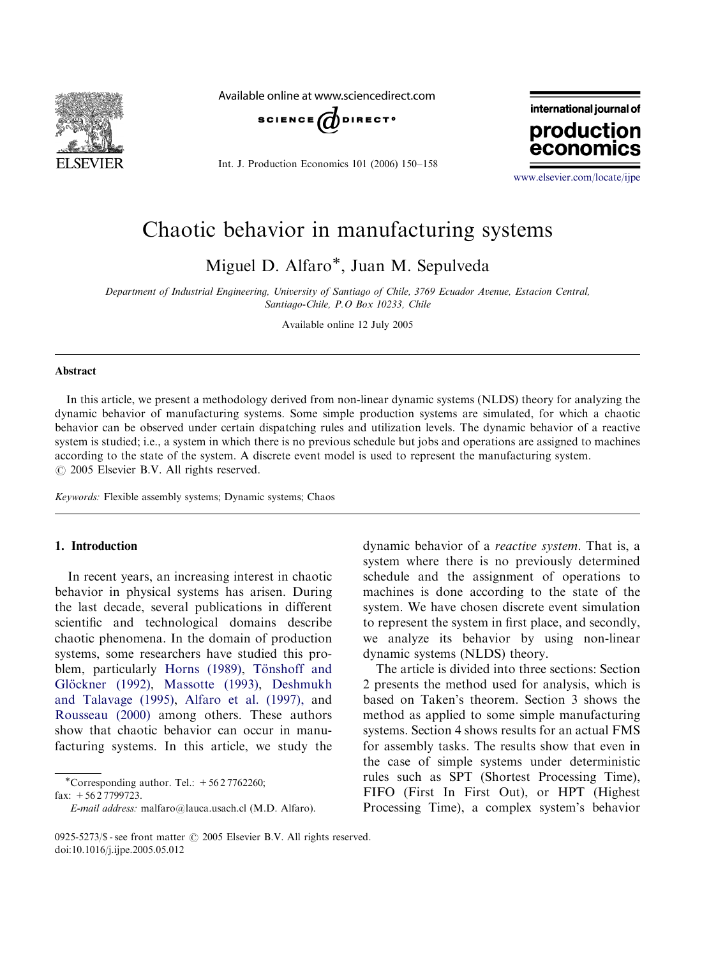

Available online at www.sciencedirect.com



Int. J. Production Economics 101 (2006) 150–158

international journal of production economics

<www.elsevier.com/locate/ijpe>

## Chaotic behavior in manufacturing systems

Miguel D. Alfaro\*, Juan M. Sepulveda

Department of Industrial Engineering, University of Santiago of Chile, 3769 Ecuador Avenue, Estacion Central, Santiago-Chile, P.O Box 10233, Chile

Available online 12 July 2005

#### Abstract

In this article, we present a methodology derived from non-linear dynamic systems (NLDS) theory for analyzing the dynamic behavior of manufacturing systems. Some simple production systems are simulated, for which a chaotic behavior can be observed under certain dispatching rules and utilization levels. The dynamic behavior of a reactive system is studied; i.e., a system in which there is no previous schedule but jobs and operations are assigned to machines according to the state of the system. A discrete event model is used to represent the manufacturing system.  $O$  2005 Elsevier B.V. All rights reserved.

Keywords: Flexible assembly systems; Dynamic systems; Chaos

### 1. Introduction

In recent years, an increasing interest in chaotic behavior in physical systems has arisen. During the last decade, several publications in different scientific and technological domains describe chaotic phenomena. In the domain of production systems, some researchers have studied this pro-blem, particularly [Horns \(1989\)](#page--1-0), Tönshoff and Glöckner (1992), [Massotte \(1993\),](#page--1-0) [Deshmukh](#page--1-0) [and Talavage \(1995\)](#page--1-0), [Alfaro et al. \(1997\),](#page--1-0) and [Rousseau \(2000\)](#page--1-0) among others. These authors show that chaotic behavior can occur in manufacturing systems. In this article, we study the

\*Corresponding author. Tel.:  $+5627762260$ ; fax: +56 2 7799723.

dynamic behavior of a reactive system. That is, a system where there is no previously determined schedule and the assignment of operations to machines is done according to the state of the system. We have chosen discrete event simulation to represent the system in first place, and secondly, we analyze its behavior by using non-linear dynamic systems (NLDS) theory.

The article is divided into three sections: Section 2 presents the method used for analysis, which is based on Taken's theorem. Section 3 shows the method as applied to some simple manufacturing systems. Section 4 shows results for an actual FMS for assembly tasks. The results show that even in the case of simple systems under deterministic rules such as SPT (Shortest Processing Time), FIFO (First In First Out), or HPT (Highest Processing Time), a complex system's behavior

E-mail address: malfaro@lauca.usach.cl (M.D. Alfaro).

<sup>0925-5273/\$ -</sup> see front matter  $\odot$  2005 Elsevier B.V. All rights reserved. doi:10.1016/j.ijpe.2005.05.012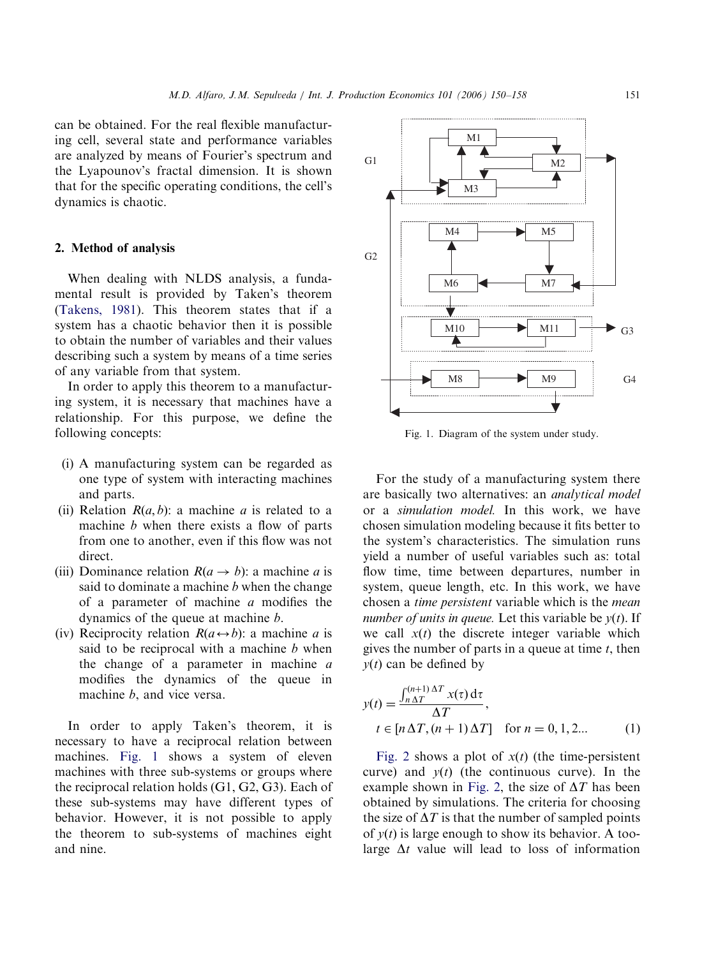can be obtained. For the real flexible manufacturing cell, several state and performance variables are analyzed by means of Fourier's spectrum and the Lyapounov's fractal dimension. It is shown that for the specific operating conditions, the cell's dynamics is chaotic.

#### 2. Method of analysis

When dealing with NLDS analysis, a fundamental result is provided by Taken's theorem ([Takens, 1981](#page--1-0)). This theorem states that if a system has a chaotic behavior then it is possible to obtain the number of variables and their values describing such a system by means of a time series of any variable from that system.

In order to apply this theorem to a manufacturing system, it is necessary that machines have a relationship. For this purpose, we define the following concepts:

- (i) A manufacturing system can be regarded as one type of system with interacting machines and parts.
- (ii) Relation  $R(a, b)$ : a machine a is related to a machine  $b$  when there exists a flow of parts from one to another, even if this flow was not direct.
- (iii) Dominance relation  $R(a \rightarrow b)$ : a machine a is said to dominate a machine  $b$  when the change of a parameter of machine a modifies the dynamics of the queue at machine b.
- (iv) Reciprocity relation  $R(a \leftrightarrow b)$ : a machine *a* is said to be reciprocal with a machine  $b$  when the change of a parameter in machine a modifies the dynamics of the queue in machine *b*, and vice versa.

In order to apply Taken's theorem, it is necessary to have a reciprocal relation between machines. Fig. 1 shows a system of eleven machines with three sub-systems or groups where the reciprocal relation holds (G1, G2, G3). Each of these sub-systems may have different types of behavior. However, it is not possible to apply the theorem to sub-systems of machines eight and nine.



Fig. 1. Diagram of the system under study.

For the study of a manufacturing system there are basically two alternatives: an analytical model or a simulation model. In this work, we have chosen simulation modeling because it fits better to the system's characteristics. The simulation runs yield a number of useful variables such as: total flow time, time between departures, number in system, queue length, etc. In this work, we have chosen a time persistent variable which is the mean number of units in queue. Let this variable be  $v(t)$ . If we call  $x(t)$  the discrete integer variable which gives the number of parts in a queue at time  $t$ , then  $y(t)$  can be defined by

$$
y(t) = \frac{\int_{n\Delta T}^{(n+1)\Delta T} x(\tau) d\tau}{\Delta T},
$$
  
\n
$$
t \in [n\Delta T, (n+1)\Delta T] \quad \text{for } n = 0, 1, 2...
$$
 (1)

[Fig. 2](#page--1-0) shows a plot of  $x(t)$  (the time-persistent curve) and  $y(t)$  (the continuous curve). In the example shown in [Fig. 2](#page--1-0), the size of  $\Delta T$  has been obtained by simulations. The criteria for choosing the size of  $\Delta T$  is that the number of sampled points of  $y(t)$  is large enough to show its behavior. A toolarge  $\Delta t$  value will lead to loss of information